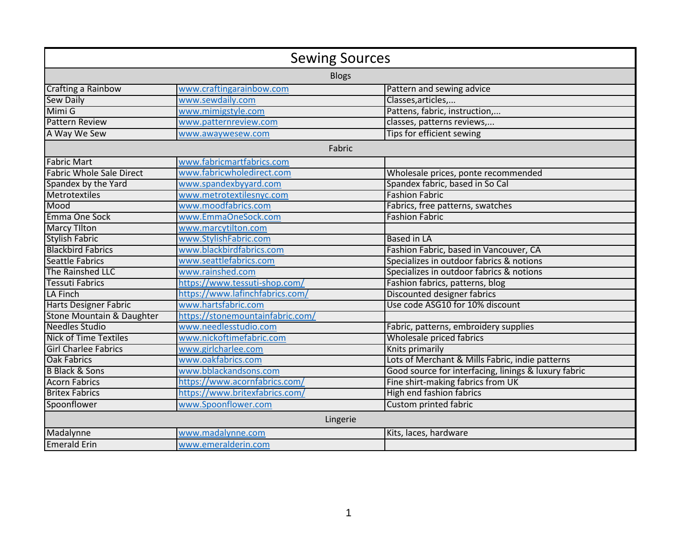| <b>Sewing Sources</b>           |                                  |                                                      |  |  |
|---------------------------------|----------------------------------|------------------------------------------------------|--|--|
| <b>Blogs</b>                    |                                  |                                                      |  |  |
| Crafting a Rainbow              | www.craftingarainbow.com         | Pattern and sewing advice                            |  |  |
| <b>Sew Daily</b>                | www.sewdaily.com                 | Classes, articles,                                   |  |  |
| Mimi G                          | www.mimigstyle.com               | Pattens, fabric, instruction,                        |  |  |
| <b>Pattern Review</b>           | www.patternreview.com            | classes, patterns reviews,                           |  |  |
| A Way We Sew                    | www.awaywesew.com                | Tips for efficient sewing                            |  |  |
| Fabric                          |                                  |                                                      |  |  |
| <b>Fabric Mart</b>              | www.fabricmartfabrics.com        |                                                      |  |  |
| <b>Fabric Whole Sale Direct</b> | www.fabricwholedirect.com        | Wholesale prices, ponte recommended                  |  |  |
| Spandex by the Yard             | www.spandexbyyard.com            | Spandex fabric, based in So Cal                      |  |  |
| Metrotextiles                   | www.metrotextilesnyc.com         | <b>Fashion Fabric</b>                                |  |  |
| Mood                            | www.moodfabrics.com              | Fabrics, free patterns, swatches                     |  |  |
| Emma One Sock                   | www.EmmaOneSock.com              | <b>Fashion Fabric</b>                                |  |  |
| <b>Marcy Tilton</b>             | www.marcytilton.com              |                                                      |  |  |
| <b>Stylish Fabric</b>           | www.StylishFabric.com            | <b>Based in LA</b>                                   |  |  |
| <b>Blackbird Fabrics</b>        | www.blackbirdfabrics.com         | Fashion Fabric, based in Vancouver, CA               |  |  |
| <b>Seattle Fabrics</b>          | www.seattlefabrics.com           | Specializes in outdoor fabrics & notions             |  |  |
| The Rainshed LLC                | www.rainshed.com                 | Specializes in outdoor fabrics & notions             |  |  |
| Tessuti Fabrics                 | https://www.tessuti-shop.com/    | Fashion fabrics, patterns, blog                      |  |  |
| LA Finch                        | https://www.lafinchfabrics.com/  | Discounted designer fabrics                          |  |  |
| <b>Harts Designer Fabric</b>    | www.hartsfabric.com              | Use code ASG10 for 10% discount                      |  |  |
| Stone Mountain & Daughter       | https://stonemountainfabric.com/ |                                                      |  |  |
| <b>Needles Studio</b>           | www.needlesstudio.com            | Fabric, patterns, embroidery supplies                |  |  |
| <b>Nick of Time Textiles</b>    | www.nickoftimefabric.com         | Wholesale priced fabrics                             |  |  |
| <b>Girl Charlee Fabrics</b>     | www.girlcharlee.com              | Knits primarily                                      |  |  |
| <b>Oak Fabrics</b>              | www.oakfabrics.com               | Lots of Merchant & Mills Fabric, indie patterns      |  |  |
| <b>B Black &amp; Sons</b>       | www.bblackandsons.com            | Good source for interfacing, linings & luxury fabric |  |  |
| <b>Acorn Fabrics</b>            | https://www.acornfabrics.com/    | Fine shirt-making fabrics from UK                    |  |  |
| <b>Britex Fabrics</b>           | https://www.britexfabrics.com/   | High end fashion fabrics                             |  |  |
| Spoonflower                     | www.Spoonflower.com              | Custom printed fabric                                |  |  |
| Lingerie                        |                                  |                                                      |  |  |
| Madalynne                       | www.madalynne.com                | Kits, laces, hardware                                |  |  |
| <b>Emerald Erin</b>             | www.emeralderin.com              |                                                      |  |  |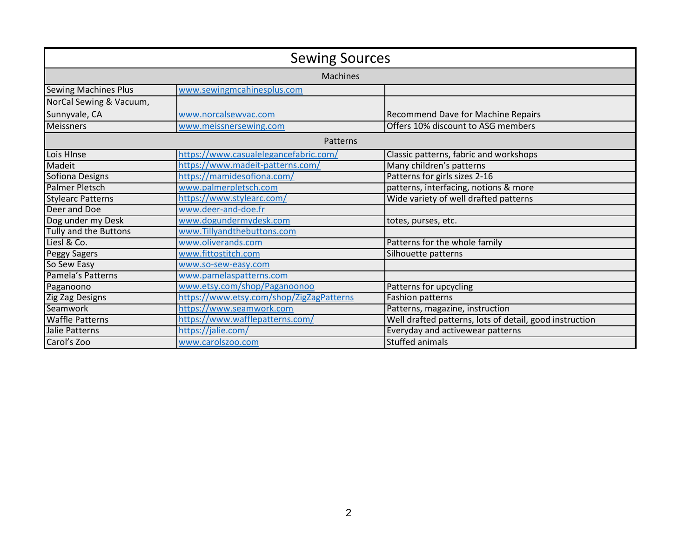| <b>Sewing Sources</b>        |                                          |                                                         |  |  |
|------------------------------|------------------------------------------|---------------------------------------------------------|--|--|
| <b>Machines</b>              |                                          |                                                         |  |  |
| <b>Sewing Machines Plus</b>  | www.sewingmcahinesplus.com               |                                                         |  |  |
| NorCal Sewing & Vacuum,      |                                          |                                                         |  |  |
| Sunnyvale, CA                | www.norcalsewvac.com                     | Recommend Dave for Machine Repairs                      |  |  |
| <b>Meissners</b>             | www.meissnersewing.com                   | Offers 10% discount to ASG members                      |  |  |
| Patterns                     |                                          |                                                         |  |  |
| Lois HInse                   | https://www.casualelegancefabric.com/    | Classic patterns, fabric and workshops                  |  |  |
| Madeit                       | https://www.madeit-patterns.com/         | Many children's patterns                                |  |  |
| Sofiona Designs              | https://mamidesofiona.com/               | Patterns for girls sizes 2-16                           |  |  |
| <b>Palmer Pletsch</b>        | www.palmerpletsch.com                    | patterns, interfacing, notions & more                   |  |  |
| <b>Stylearc Patterns</b>     | https://www.stylearc.com/                | Wide variety of well drafted patterns                   |  |  |
| Deer and Doe                 | www.deer-and-doe.fr                      |                                                         |  |  |
| Dog under my Desk            | www.dogundermydesk.com                   | totes, purses, etc.                                     |  |  |
| <b>Tully and the Buttons</b> | www.Tillyandthebuttons.com               |                                                         |  |  |
| Liesl & Co.                  | www.oliverands.com                       | Patterns for the whole family                           |  |  |
| <b>Peggy Sagers</b>          | www.fittostitch.com                      | Silhouette patterns                                     |  |  |
| So Sew Easy                  | www.so-sew-easy.com                      |                                                         |  |  |
| Pamela's Patterns            | www.pamelaspatterns.com                  |                                                         |  |  |
| Paganoono                    | www.etsy.com/shop/Paganoonoo             | Patterns for upcycling                                  |  |  |
| Zig Zag Designs              | https://www.etsy.com/shop/ZigZagPatterns | <b>Fashion patterns</b>                                 |  |  |
| Seamwork                     | https://www.seamwork.com                 | Patterns, magazine, instruction                         |  |  |
| <b>Waffle Patterns</b>       | https://www.wafflepatterns.com/          | Well drafted patterns, lots of detail, good instruction |  |  |
| Jalie Patterns               | https://jalie.com/                       | Everyday and activewear patterns                        |  |  |
| Carol's Zoo                  | www.carolszoo.com                        | <b>Stuffed animals</b>                                  |  |  |